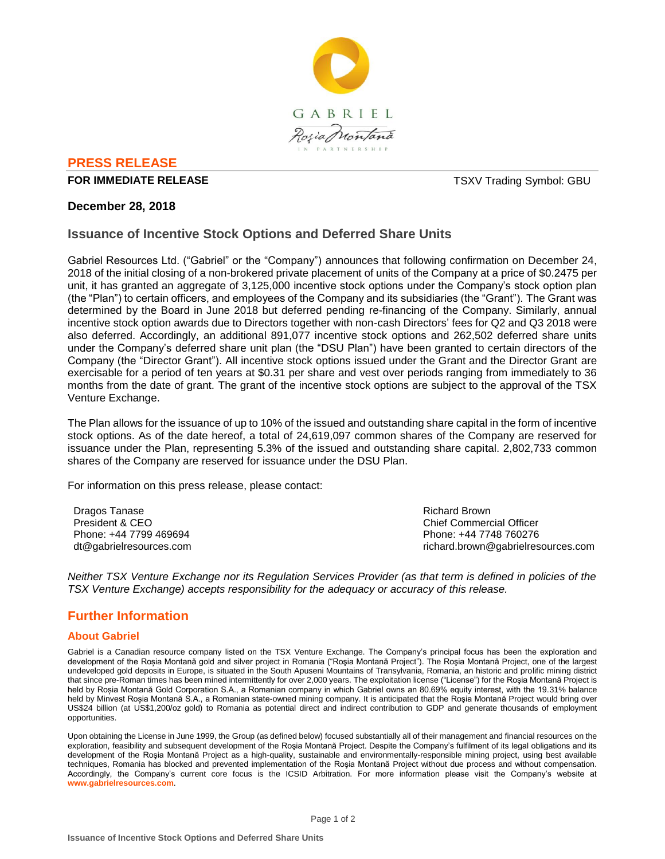

## **PRESS RELEASE**

#### **FOR IMMEDIATE RELEASE THE SECOND SYMBOL: GBU TSXV Trading Symbol: GBU**

### **December 28, 2018**

### **Issuance of Incentive Stock Options and Deferred Share Units**

Gabriel Resources Ltd. ("Gabriel" or the "Company") announces that following confirmation on December 24, 2018 of the initial closing of a non-brokered private placement of units of the Company at a price of \$0.2475 per unit, it has granted an aggregate of 3,125,000 incentive stock options under the Company's stock option plan (the "Plan") to certain officers, and employees of the Company and its subsidiaries (the "Grant"). The Grant was determined by the Board in June 2018 but deferred pending re-financing of the Company. Similarly, annual incentive stock option awards due to Directors together with non-cash Directors' fees for Q2 and Q3 2018 were also deferred. Accordingly, an additional 891,077 incentive stock options and 262,502 deferred share units under the Company's deferred share unit plan (the "DSU Plan") have been granted to certain directors of the Company (the "Director Grant"). All incentive stock options issued under the Grant and the Director Grant are exercisable for a period of ten years at \$0.31 per share and vest over periods ranging from immediately to 36 months from the date of grant. The grant of the incentive stock options are subject to the approval of the TSX Venture Exchange.

The Plan allows for the issuance of up to 10% of the issued and outstanding share capital in the form of incentive stock options. As of the date hereof, a total of 24,619,097 common shares of the Company are reserved for issuance under the Plan, representing 5.3% of the issued and outstanding share capital. 2,802,733 common shares of the Company are reserved for issuance under the DSU Plan.

For information on this press release, please contact:

Dragos Tanase President & CEO Phone: +44 7799 469694 dt@gabrielresources.com Richard Brown Chief Commercial Officer Phone: +44 7748 760276 richard.brown@gabrielresources.com

*Neither TSX Venture Exchange nor its Regulation Services Provider (as that term is defined in policies of the TSX Venture Exchange) accepts responsibility for the adequacy or accuracy of this release.*

# **Further Information**

### **About Gabriel**

Gabriel is a Canadian resource company listed on the TSX Venture Exchange. The Company's principal focus has been the exploration and development of the Roșia Montană gold and silver project in Romania ("Roşia Montană Project"). The Roşia Montană Project, one of the largest undeveloped gold deposits in Europe, is situated in the South Apuseni Mountains of Transylvania, Romania, an historic and prolific mining district that since pre-Roman times has been mined intermittently for over 2,000 years. The exploitation license ("License") for the Roşia Montană Project is held by Roșia Montană Gold Corporation S.A., a Romanian company in which Gabriel owns an 80.69% equity interest, with the 19.31% balance held by Minvest Roșia Montană S.A., a Romanian state-owned mining company. It is anticipated that the Roşia Montană Project would bring over US\$24 billion (at US\$1,200/oz gold) to Romania as potential direct and indirect contribution to GDP and generate thousands of employment opportunities.

Upon obtaining the License in June 1999, the Group (as defined below) focused substantially all of their management and financial resources on the exploration, feasibility and subsequent development of the Roşia Montană Project. Despite the Company's fulfilment of its legal obligations and its development of the Roşia Montană Project as a high-quality, sustainable and environmentally-responsible mining project, using best available techniques, Romania has blocked and prevented implementation of the Roşia Montană Project without due process and without compensation. Accordingly, the Company's current core focus is the ICSID Arbitration. For more information please visit the Company's website at **www.gabrielresources.com**.